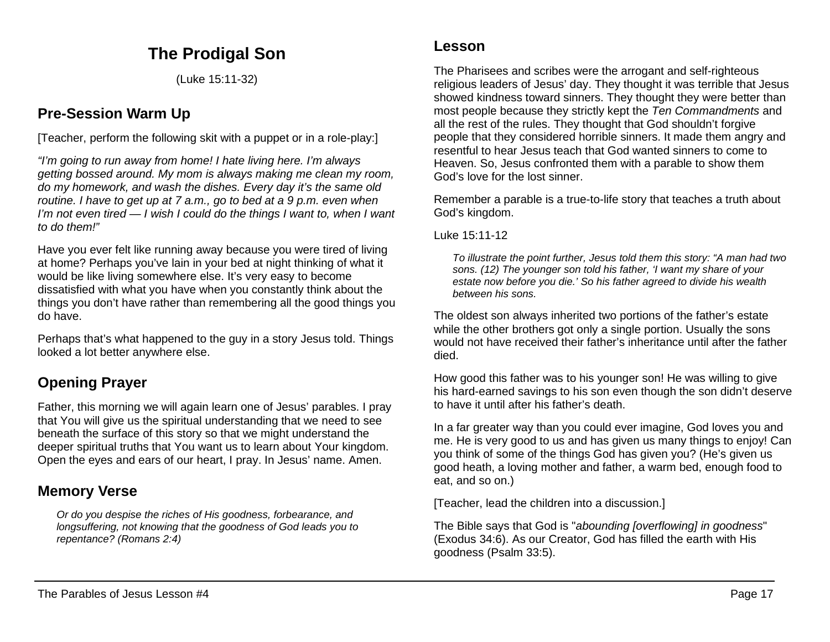## **The Prodigal Son**

(Luke 15:11-32)

### **Pre-Session Warm Up**

[Teacher, perform the following skit with a puppet or in a role-play:]

*"I'm going to run away from home! I hate living here. I'm always getting bossed around. My mom is always making me clean my room, do my homework, and wash the dishes. Every day it's the same old routine. I have to get up at 7 a.m., go to bed at a 9 p.m. even when I'm not even tired — I wish I could do the things I want to, when I want to do them!"*

Have you ever felt like running away because you were tired of living at home? Perhaps you've lain in your bed at night thinking of what it would be like living somewhere else. It's very easy to become dissatisfied with what you have when you constantly think about the things you don't have rather than remembering all the good things you do have.

Perhaps that's what happened to the guy in a story Jesus told. Things looked a lot better anywhere else.

# **Opening Prayer**

Father, this morning we will again learn one of Jesus' parables. I pray that You will give us the spiritual understanding that we need to see beneath the surface of this story so that we might understand the deeper spiritual truths that You want us to learn about Your kingdom. Open the eyes and ears of our heart, I pray. In Jesus' name. Amen.

## **Memory Verse**

*Or do you despise the riches of His goodness, forbearance, and longsuffering, not knowing that the goodness of God leads you to repentance? (Romans 2:4)*

### **Lesson**

The Pharisees and scribes were the arrogant and self-righteous religious leaders of Jesus' day. They thought it was terrible that Jesus showed kindness toward sinners. They thought they were better than most people because they strictly kept the *Ten Commandments* and all the rest of the rules. They thought that God shouldn't forgive people that they considered horrible sinners. It made them angry and resentful to hear Jesus teach that God wanted sinners to come to Heaven. So, Jesus confronted them with a parable to show them God's love for the lost sinner.

Remember a parable is a true-to-life story that teaches a truth about God's kingdom.

Luke 15:11-12

*To illustrate the point further, Jesus told them this story: "A man had two sons. (12) The younger son told his father, 'I want my share of your estate now before you die.' So his father agreed to divide his wealth between his sons.*

The oldest son always inherited two portions of the father's estate while the other brothers got only a single portion. Usually the sons would not have received their father's inheritance until after the father died.

How good this father was to his younger son! He was willing to give his hard-earned savings to his son even though the son didn't deserve to have it until after his father's death.

In a far greater way than you could ever imagine, God loves you and me. He is very good to us and has given us many things to enjoy! Can you think of some of the things God has given you? (He's given us good heath, a loving mother and father, a warm bed, enough food to eat, and so on.)

[Teacher, lead the children into a discussion.]

The Bible says that God is "*abounding [overflowing] in goodness*" (Exodus 34:6). As our Creator, God has filled the earth with His goodness (Psalm 33:5).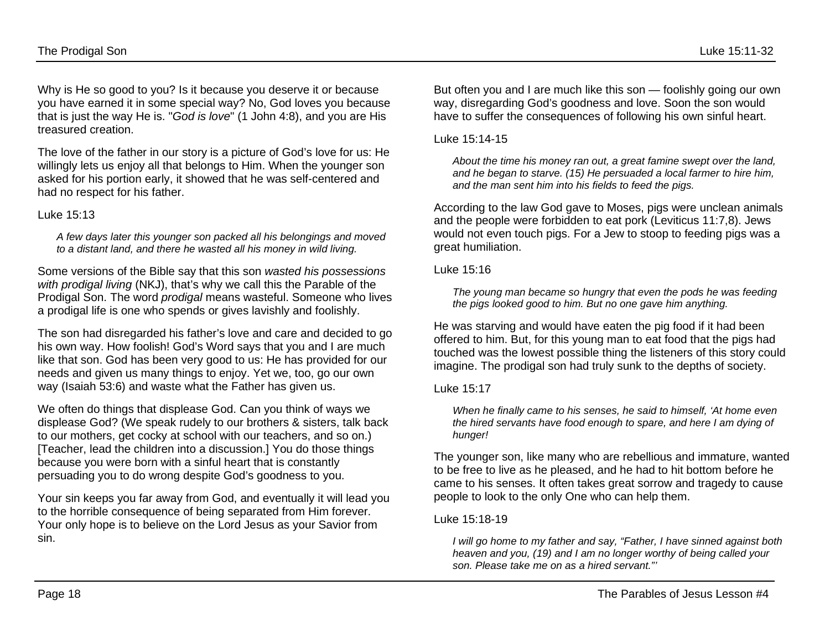Why is He so good to you? Is it because you deserve it or because you have earned it in some special way? No, God loves you because that is just the way He is. "*God is love*" (1 John 4:8), and you are His treasured creation.

The love of the father in our story is a picture of God's love for us: He willingly lets us enjoy all that belongs to Him. When the younger son asked for his portion early, it showed that he was self-centered and had no respect for his father.

#### Luke 15:13

*A few days later this younger son packed all his belongings and moved to a distant land, and there he wasted all his money in wild living.*

Some versions of the Bible say that this son *wasted his possessions with prodigal living* (NKJ), that's why we call this the Parable of the Prodigal Son. The word *prodigal* means wasteful. Someone who lives a prodigal life is one who spends or gives lavishly and foolishly.

The son had disregarded his father's love and care and decided to go his own way. How foolish! God's Word says that you and I are much like that son. God has been very good to us: He has provided for our needs and given us many things to enjoy. Yet we, too, go our own way (Isaiah 53:6) and waste what the Father has given us.

We often do things that displease God. Can you think of ways we displease God? (We speak rudely to our brothers & sisters, talk back to our mothers, get cocky at school with our teachers, and so on.) [Teacher, lead the children into a discussion.] You do those things because you were born with a sinful heart that is constantly persuading you to do wrong despite God's goodness to you.

Your sin keeps you far away from God, and eventually it will lead you to the horrible consequence of being separated from Him forever. Your only hope is to believe on the Lord Jesus as your Savior from sin.

But often you and I are much like this son — foolishly going our own way, disregarding God's goodness and love. Soon the son would have to suffer the consequences of following his own sinful heart.

Luke 15:14-15

*About the time his money ran out, a great famine swept over the land, and he began to starve. (15) He persuaded a local farmer to hire him, and the man sent him into his fields to feed the pigs.*

According to the law God gave to Moses, pigs were unclean animals and the people were forbidden to eat pork (Leviticus 11:7,8). Jews would not even touch pigs. For a Jew to stoop to feeding pigs was a great humiliation.

#### Luke 15:16

*The young man became so hungry that even the pods he was feeding the pigs looked good to him. But no one gave him anything.*

He was starving and would have eaten the pig food if it had been offered to him. But, for this young man to eat food that the pigs had touched was the lowest possible thing the listeners of this story could imagine. The prodigal son had truly sunk to the depths of society.

Luke 15:17

*When he finally came to his senses, he said to himself, 'At home even the hired servants have food enough to spare, and here I am dying of hunger!*

The younger son, like many who are rebellious and immature, wanted to be free to live as he pleased, and he had to hit bottom before he came to his senses. It often takes great sorrow and tragedy to cause people to look to the only One who can help them.

#### Luke 15:18-19

*I will go home to my father and say, "Father, I have sinned against both heaven and you, (19) and I am no longer worthy of being called your son. Please take me on as a hired servant."'*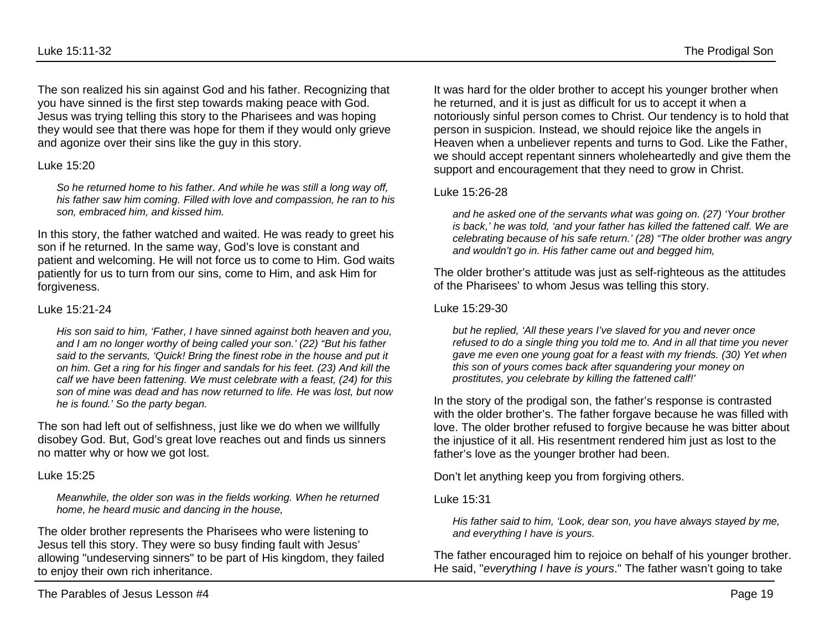The son realized his sin against God and his father. Recognizing that you have sinned is the first step towards making peace with God. Jesus was trying telling this story to the Pharisees and was hoping they would see that there was hope for them if they would only grieve and agonize over their sins like the guy in this story.

#### Luke 15:20

*So he returned home to his father. And while he was still a long way off, his father saw him coming. Filled with love and compassion, he ran to his son, embraced him, and kissed him.*

In this story, the father watched and waited. He was ready to greet his son if he returned. In the same way, God's love is constant and patient and welcoming. He will not force us to come to Him. God waits patiently for us to turn from our sins, come to Him, and ask Him for forgiveness.

#### Luke 15:21-24

*His son said to him, 'Father, I have sinned against both heaven and you, and I am no longer worthy of being called your son.' (22) "But his father said to the servants, 'Quick! Bring the finest robe in the house and put it on him. Get a ring for his finger and sandals for his feet. (23) And kill the calf we have been fattening. We must celebrate with a feast, (24) for this son of mine was dead and has now returned to life. He was lost, but now he is found.' So the party began.*

The son had left out of selfishness, just like we do when we willfully disobey God. But, God's great love reaches out and finds us sinners no matter why or how we got lost.

#### Luke 15:25

*Meanwhile, the older son was in the fields working. When he returned home, he heard music and dancing in the house,*

The older brother represents the Pharisees who were listening to Jesus tell this story. They were so busy finding fault with Jesus' allowing "undeserving sinners" to be part of His kingdom, they failed to enjoy their own rich inheritance.

It was hard for the older brother to accept his younger brother when he returned, and it is just as difficult for us to accept it when a notoriously sinful person comes to Christ. Our tendency is to hold that person in suspicion. Instead, we should rejoice like the angels in Heaven when a unbeliever repents and turns to God. Like the Father, we should accept repentant sinners wholeheartedly and give them the support and encouragement that they need to grow in Christ.

#### Luke 15:26-28

*and he asked one of the servants what was going on. (27) 'Your brother is back,' he was told, 'and your father has killed the fattened calf. We are celebrating because of his safe return.' (28) "The older brother was angry and wouldn't go in. His father came out and begged him,*

The older brother's attitude was just as self-righteous as the attitudes of the Pharisees' to whom Jesus was telling this story.

#### Luke 15:29-30

*but he replied, 'All these years I've slaved for you and never once refused to do a single thing you told me to. And in all that time you never gave me even one young goat for a feast with my friends. (30) Yet when this son of yours comes back after squandering your money on prostitutes, you celebrate by killing the fattened calf!'*

In the story of the prodigal son, the father's response is contrasted with the older brother's. The father forgave because he was filled with love. The older brother refused to forgive because he was bitter about the injustice of it all. His resentment rendered him just as lost to the father's love as the younger brother had been.

Don't let anything keep you from forgiving others.

Luke 15:31

*His father said to him, 'Look, dear son, you have always stayed by me, and everything I have is yours.*

The father encouraged him to rejoice on behalf of his younger brother. He said, "*everything I have is yours*." The father wasn't going to take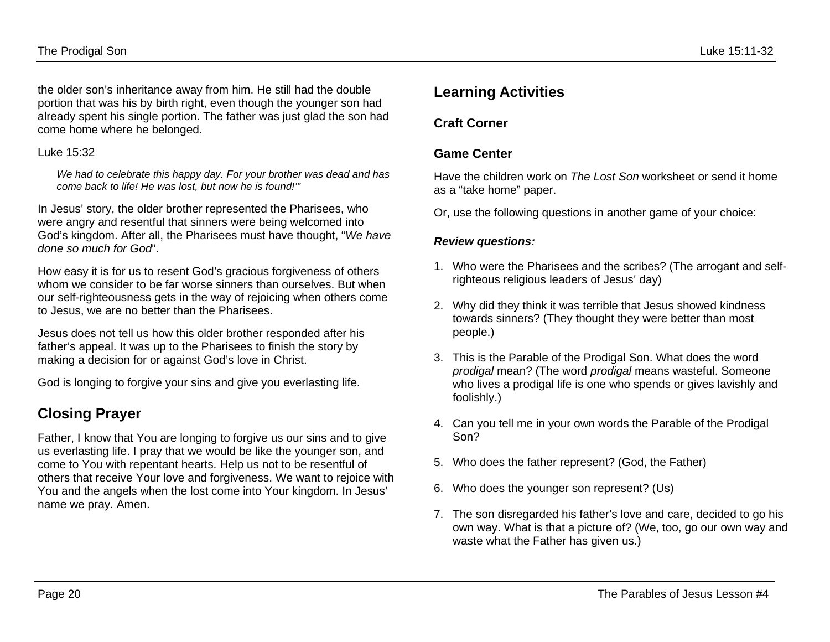the older son's inheritance away from him. He still had the double portion that was his by birth right, even though the younger son had already spent his single portion. The father was just glad the son had come home where he belonged.

#### Luke 15:32

*We had to celebrate this happy day. For your brother was dead and has come back to life! He was lost, but now he is found!'"*

In Jesus' story, the older brother represented the Pharisees, who were angry and resentful that sinners were being welcomed into God's kingdom. After all, the Pharisees must have thought, "*We have done so much for God*".

How easy it is for us to resent God's gracious forgiveness of others whom we consider to be far worse sinners than ourselves. But when our self-righteousness gets in the way of rejoicing when others come to Jesus, we are no better than the Pharisees.

Jesus does not tell us how this older brother responded after his father's appeal. It was up to the Pharisees to finish the story by making a decision for or against God's love in Christ.

God is longing to forgive your sins and give you everlasting life.

## **Closing Prayer**

Father, I know that You are longing to forgive us our sins and to give us everlasting life. I pray that we would be like the younger son, and come to You with repentant hearts. Help us not to be resentful of others that receive Your love and forgiveness. We want to rejoice with You and the angels when the lost come into Your kingdom. In Jesus' name we pray. Amen.

### **Learning Activities**

### **Craft Corner**

### **Game Center**

Have the children work on *The Lost Son* worksheet or send it home as a "take home" paper.

Or, use the following questions in another game of your choice:

#### *Review questions:*

- 1. Who were the Pharisees and the scribes? (The arrogant and selfrighteous religious leaders of Jesus' day)
- 2. Why did they think it was terrible that Jesus showed kindness towards sinners? (They thought they were better than most people.)
- 3. This is the Parable of the Prodigal Son. What does the word *prodigal* mean? (The word *prodigal* means wasteful. Someone who lives a prodigal life is one who spends or gives lavishly and foolishly.)
- 4. Can you tell me in your own words the Parable of the Prodigal Son?
- 5. Who does the father represent? (God, the Father)
- 6. Who does the younger son represent? (Us)
- 7. The son disregarded his father's love and care, decided to go his own way. What is that a picture of? (We, too, go our own way and waste what the Father has given us.)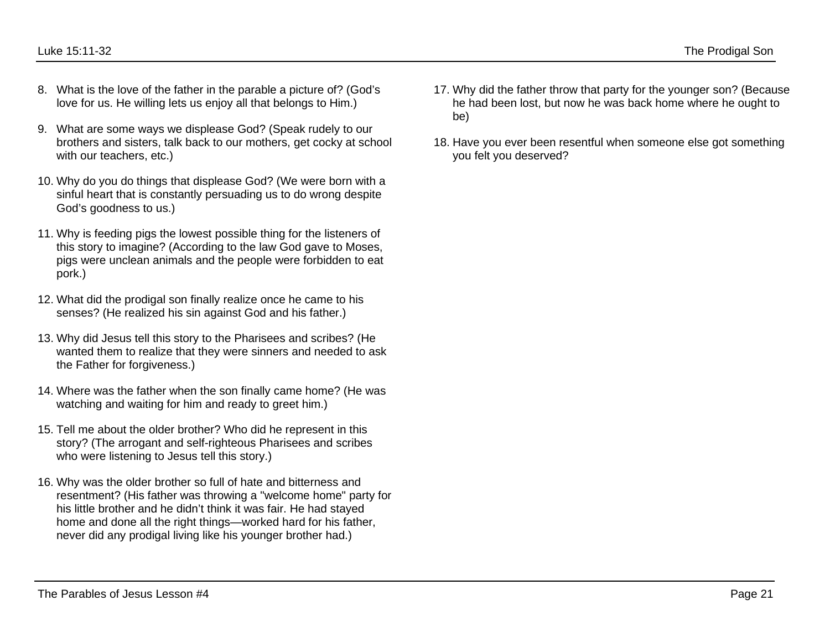- 8. What is the love of the father in the parable a picture of? (God's love for us. He willing lets us enjoy all that belongs to Him.)
- 9. What are some ways we displease God? (Speak rudely to our brothers and sisters, talk back to our mothers, get cocky at school with our teachers, etc.)
- 10. Why do you do things that displease God? (We were born with a sinful heart that is constantly persuading us to do wrong despite God's goodness to us.)
- 11. Why is feeding pigs the lowest possible thing for the listeners of this story to imagine? (According to the law God gave to Moses, pigs were unclean animals and the people were forbidden to eat pork.)
- 12. What did the prodigal son finally realize once he came to his senses? (He realized his sin against God and his father.)
- 13. Why did Jesus tell this story to the Pharisees and scribes? (He wanted them to realize that they were sinners and needed to ask the Father for forgiveness.)
- 14. Where was the father when the son finally came home? (He was watching and waiting for him and ready to greet him.)
- 15. Tell me about the older brother? Who did he represent in this story? (The arrogant and self-righteous Pharisees and scribes who were listening to Jesus tell this story.)
- 16. Why was the older brother so full of hate and bitterness and resentment? (His father was throwing a "welcome home" party for his little brother and he didn't think it was fair. He had stayed home and done all the right things—worked hard for his father, never did any prodigal living like his younger brother had.)
- 17. Why did the father throw that party for the younger son? (Because he had been lost, but now he was back home where he ought to be)
- 18. Have you ever been resentful when someone else got something you felt you deserved?